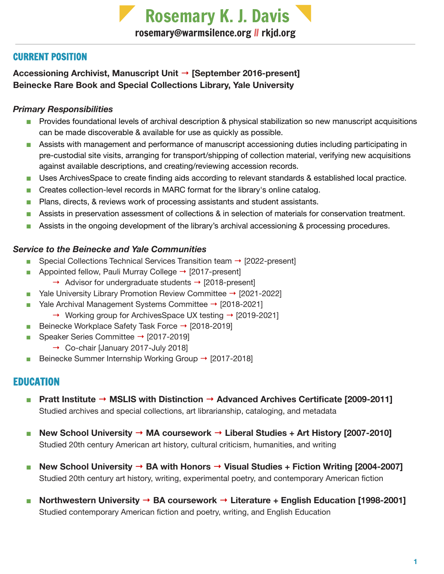Rosemary K. J. Davis [rosemary@warmsilence.org](mailto:rosemary@warmsilence.org) II [rkjd.org](http://rkjd.org/)

# CURRENT POSITION

**Accessioning Archivist, Manuscript Unit** → **[September 2016-present] Beinecke Rare Book and Special Collections Library, Yale University**

### *Primary Responsibilities*

- Provides foundational levels of archival description & physical stabilization so new manuscript acquisitions can be made discoverable & available for use as quickly as possible.
- Assists with management and performance of manuscript accessioning duties including participating in pre-custodial site visits, arranging for transport/shipping of collection material, verifying new acquisitions against available descriptions, and creating/reviewing accession records.
- Uses ArchivesSpace to create finding aids according to relevant standards & established local practice.
- Creates collection-level records in MARC format for the library's online catalog.
- Plans, directs, & reviews work of processing assistants and student assistants.
- Assists in preservation assessment of collections & in selection of materials for conservation treatment.
- Assists in the ongoing development of the library's archival accessioning & processing procedures.

### *Service to the Beinecke and Yale Communities*

- Special Collections Technical Services Transition team  $\rightarrow$  [2022-present]
- Appointed fellow, Pauli Murray College  $\rightarrow$  [2017-present]
	- $\rightarrow$  Advisor for undergraduate students  $\rightarrow$  [2018-present]
- Yale University Library Promotion Review Committee  $\rightarrow$  [2021-2022]
- Yale Archival Management Systems Committee → [2018-2021]
	- $\rightarrow$  Working group for ArchivesSpace UX testing  $\rightarrow$  [2019-2021]
- Beinecke Workplace Safety Task Force → [2018-2019]
- Speaker Series Committee → [2017-2019]
	- → Co-chair [January 2017-July 2018]
- Beinecke Summer Internship Working Group → [2017-2018]

# EDUCATION

- **■ Pratt Institute → MSLIS with Distinction → Advanced Archives Certificate [2009-2011]** Studied archives and special collections, art librarianship, cataloging, and metadata
- **■ New School University → MA coursework → Liberal Studies + Art History [2007-2010]** Studied 20th century American art history, cultural criticism, humanities, and writing
- **■ New School University → BA with Honors → Visual Studies + Fiction Writing [2004-2007]** Studied 20th century art history, writing, experimental poetry, and contemporary American fiction
- **■ Northwestern University → BA coursework → Literature + English Education [1998-2001]** Studied contemporary American fiction and poetry, writing, and English Education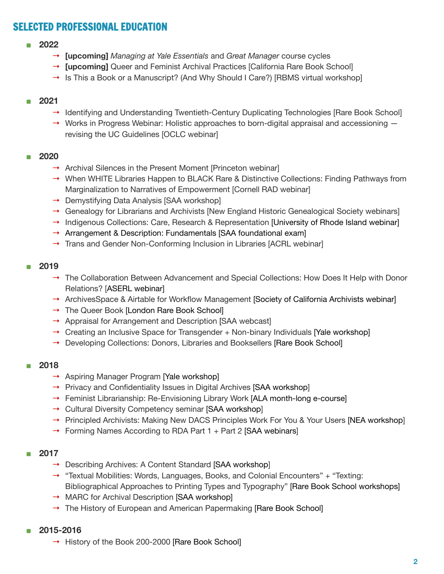# SELECTED PROFESSIONAL EDUCATION

#### **■ 2022**

- → **[upcoming]** *Managing at Yale Essentials* and *Great Manager* course cycles
- → **[upcoming]** Queer and Feminist Archival Practices [California Rare Book School]
- $\rightarrow$  Is This a Book or a Manuscript? (And Why Should I Care?) [RBMS virtual workshop]

#### **■ 2021**

- → Identifying and Understanding Twentieth-Century Duplicating Technologies [Rare Book School]
- → Works in Progress Webinar: Holistic approaches to born-digital appraisal and accessioning revising the UC Guidelines [OCLC webinar]

#### **■ 2020**

- $\rightarrow$  Archival Silences in the Present Moment [Princeton webinar]
- → When WHITE Libraries Happen to BLACK Rare & Distinctive Collections: Finding Pathways from Marginalization to Narratives of Empowerment [Cornell RAD webinar]
- $\rightarrow$  Demystifying Data Analysis [SAA workshop]
- → Genealogy for Librarians and Archivists [New England Historic Genealogical Society webinars]
- $\rightarrow$  Indigenous Collections: Care, Research & Representation [University of Rhode Island webinar]
- $\rightarrow$  Arrangement & Description: Fundamentals [SAA foundational exam]
- → Trans and Gender Non-Conforming Inclusion in Libraries [ACRL webinar]

#### **■ 2019**

- $\rightarrow$  The Collaboration Between Advancement and Special Collections: How Does It Help with Donor Relations? [ASERL webinar]
- → ArchivesSpace & Airtable for Workflow Management [Society of California Archivists webinar]
- → The Queer Book [London Rare Book School]
- → Appraisal for Arrangement and Description [SAA webcast]
- $\rightarrow$  Creating an Inclusive Space for Transgender  $+$  Non-binary Individuals [Yale workshop]
- → Developing Collections: Donors, Libraries and Booksellers [Rare Book School]

#### **■ 2018**

- → Aspiring Manager Program [Yale workshop]
- → Privacy and Confidentiality Issues in Digital Archives [SAA workshop]
- → Feminist Librarianship: Re-Envisioning Library Work [ALA month-long e-course]
- → Cultural Diversity Competency seminar [SAA workshop]
- → Principled Archivists: Making New DACS Principles Work For You & Your Users [NEA workshop]
- $\rightarrow$  Forming Names According to RDA Part 1 + Part 2 [SAA webinars]

#### **■ 2017**

- → Describing Archives: A Content Standard [SAA workshop]
- $\rightarrow$  "Textual Mobilities: Words, Languages, Books, and Colonial Encounters" + "Texting: Bibliographical Approaches to Printing Types and Typography" [Rare Book School workshops]
- → MARC for Archival Description [SAA workshop]
- → The History of European and American Papermaking [Rare Book School]
- **■ 2015-2016**
	- → History of the Book 200-2000 [Rare Book School]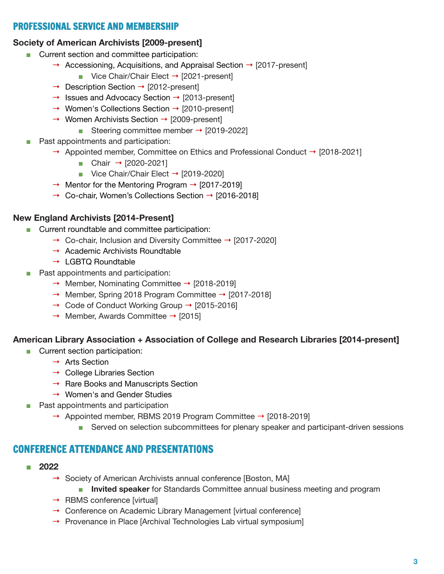## PROFESSIONAL SERVICE AND MEMBERSHIP

#### **Society of American Archivists [2009-present]**

- Current section and committee participation:
	- $\rightarrow$  Accessioning, Acquisitions, and Appraisal Section  $\rightarrow$  [2017-present]
		- Vice Chair/Chair Elect  $\rightarrow$  [2021-present]
	- → Description Section → [2012-present]
	- $\rightarrow$  Issues and Advocacy Section  $\rightarrow$  [2013-present]
	- → Women's Collections Section → [2010-present]
	- $\rightarrow$  Women Archivists Section  $\rightarrow$  [2009-present]
		- Steering committee member  $\rightarrow$  [2019-2022]
	- Past appointments and participation:
		- → Appointed member, Committee on Ethics and Professional Conduct → [2018-2021]
			- Chair  $\rightarrow$  [2020-2021]
			- Vice Chair/Chair Elect  $\rightarrow$  [2019-2020]
			- $\rightarrow$  Mentor for the Mentoring Program  $\rightarrow$  [2017-2019]
			- → Co-chair, Women's Collections Section → [2016-2018]

#### **New England Archivists [2014-Present]**

- Current roundtable and committee participation:
	- → Co-chair, Inclusion and Diversity Committee → [2017-2020]
	- $\rightarrow$  Academic Archivists Roundtable
	- $\rightarrow$  LGBTQ Roundtable
- Past appointments and participation:
	- → Member, Nominating Committee → [2018-2019]
	- → Member, Spring 2018 Program Committee → [2017-2018]
	- → Code of Conduct Working Group → [2015-2016]
	- $\rightarrow$  Member, Awards Committee  $\rightarrow$  [2015]

#### **American Library Association + Association of College and Research Libraries [2014-present]**

- Current section participation:
	- → Arts Section
	- $\rightarrow$  College Libraries Section
	- $\rightarrow$  Rare Books and Manuscripts Section
	- $\rightarrow$  Women's and Gender Studies
- Past appointments and participation
	- $\rightarrow$  Appointed member, RBMS 2019 Program Committee  $\rightarrow$  [2018-2019]
		- Served on selection subcommittees for plenary speaker and participant-driven sessions

### CONFERENCE ATTENDANCE AND PRESENTATIONS

- **■ 2022**
	- **→** Society of American Archivists annual conference [Boston, MA]
		- **Invited speaker** for Standards Committee annual business meeting and program
	- $\rightarrow$  RBMS conference [virtual]
	- → Conference on Academic Library Management [virtual conference]
	- $\rightarrow$  Provenance in Place [Archival Technologies Lab virtual symposium]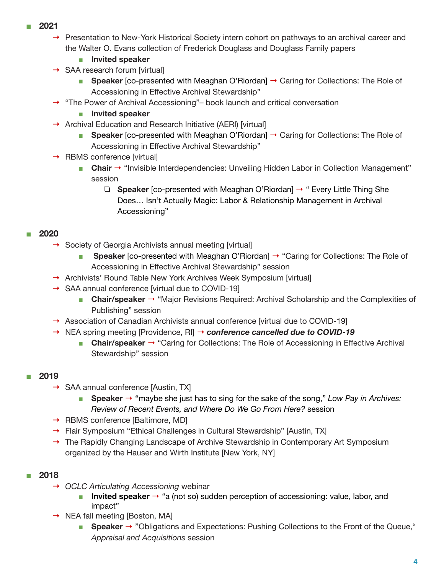- **■ 2021**
	- **→** Presentation to New-York Historical Society intern cohort on pathways to an archival career and the Walter O. Evans collection of Frederick Douglass and Douglass Family papers
		- **■ Invited speaker**
	- **→** SAA research forum [virtual]
		- **Speaker** [co-presented with Meaghan O'Riordan] → Caring for Collections: The Role of Accessioning in Effective Archival Stewardship"
	- **→** "The Power of Archival Accessioning"– book launch and critical conversation
		- **■ Invited speaker**
	- **→** Archival Education and Research Initiative (AERI) [virtual]
		- **Speaker** [co-presented with Meaghan O'Riordan] → Caring for Collections: The Role of Accessioning in Effective Archival Stewardship"
	- **→** RBMS conference [virtual]
		- **Chair** → "Invisible Interdependencies: Unveiling Hidden Labor in Collection Management" session
			- ❏ **Speaker** [co-presented with Meaghan O'Riordan] → " Every Little Thing She Does… Isn't Actually Magic: Labor & Relationship Management in Archival Accessioning"

#### **■ 2020**

- **→** Society of Georgia Archivists annual meeting [virtual]
	- **Speaker** [co-presented with Meaghan O'Riordan] → "Caring for Collections: The Role of Accessioning in Effective Archival Stewardship" session
- **→** Archivists' Round Table New York Archives Week Symposium [virtual]
- **→** SAA annual conference [virtual due to COVID-19]
	- **■ Chair/speaker** → "Major Revisions Required: Archival Scholarship and the Complexities of Publishing" session
- $\rightarrow$  Association of Canadian Archivists annual conference [virtual due to COVID-19]
- **→** NEA spring meeting [Providence, RI] → *conference cancelled due to COVID-19*
	- **Chair/speaker** → "Caring for Collections: The Role of Accessioning in Effective Archival Stewardship" session

### **■ 2019**

- **→** SAA annual conference [Austin, TX]
	- **■ Speaker** → "maybe she just has to sing for the sake of the song," *Low Pay in Archives: Review of Recent Events, and Where Do We Go From Here?* session
- **→** RBMS conference [Baltimore, MD]
- **→** Flair Symposium "Ethical Challenges in Cultural Stewardship" [Austin, TX]
- **→** The Rapidly Changing Landscape of Archive Stewardship in Contemporary Art Symposium organized by the Hauser and Wirth Institute [New York, NY]

### **■ 2018**

- **→** *OCLC Articulating Accessioning* webinar
	- **Invited speaker** → "a (not so) sudden perception of accessioning: value, labor, and impact"
- **→** NEA fall meeting [Boston, MA]
	- **Speaker** → "Obligations and Expectations: Pushing Collections to the Front of the Queue," *Appraisal and Acquisitions* session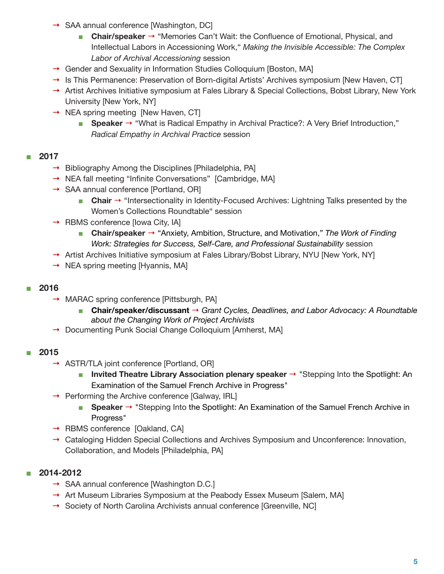- **→** SAA annual conference [Washington, DC]
	- **■ Chair/speaker** → "Memories Can't Wait: the Confluence of Emotional, Physical, and Intellectual Labors in Accessioning Work," *Making the Invisible Accessible: The Complex Labor of Archival Accessioning* session
- **→** Gender and Sexuality in Information Studies Colloquium [Boston, MA]
- **→** Is This Permanence: Preservation of Born-digital Artists' Archives symposium [New Haven, CT]
- **→** Artist Archives Initiative symposium at Fales Library & Special Collections, Bobst Library, New York University [New York, NY]
- **→** NEA spring meeting [New Haven, CT]
	- **Speaker** → "What is Radical Empathy in Archival Practice?: A Very Brief Introduction," *Radical Empathy in Archival Practice* session

#### **■ 2017**

- **→** Bibliography Among the Disciplines [Philadelphia, PA]
- **→** NEA fall meeting "Infinite Conversations" [Cambridge, MA]
- **→** SAA annual conference [Portland, OR]
	- **Chair** → "Intersectionality in Identity-Focused Archives: Lightning Talks presented by the Women's Collections Roundtable" session
- **→** RBMS conference [Iowa City, IA]
	- **■ Chair/speaker** → "Anxiety, Ambition, Structure, and Motivation," *The Work of Finding Work: Strategies for Success, Self-Care, and Professional Sustainability* session
- **→** Artist Archives Initiative symposium at Fales Library/Bobst Library, NYU [New York, NY]
- **→** NEA spring meeting [Hyannis, MA]

#### **■ 2016**

- **→** MARAC spring conference [Pittsburgh, PA]
	- **■ Chair/speaker/discussant** → *Grant Cycles, Deadlines, and Labor Advocacy: A Roundtable about the Changing Work of Project Archivists*
- **→** Documenting Punk Social Change Colloquium [Amherst, MA]

### **■ 2015**

- **→** ASTR/TLA joint conference [Portland, OR]
	- **■ Invited Theatre Library Association plenary speaker** → "Stepping Into the Spotlight: An Examination of the Samuel French Archive in Progress"
- **→** Performing the Archive conference [Galway, IRL]
	- **Speaker** → "Stepping Into the Spotlight: An Examination of the Samuel French Archive in Progress"
- **→** RBMS conference [Oakland, CA]
- **→** Cataloging Hidden Special Collections and Archives Symposium and Unconference: Innovation, Collaboration, and Models [Philadelphia, PA]

### **■ 2014-2012**

- **→** SAA annual conference [Washington D.C.]
- **→** Art Museum Libraries Symposium at the Peabody Essex Museum [Salem, MA]
- **→** Society of North Carolina Archivists annual conference [Greenville, NC]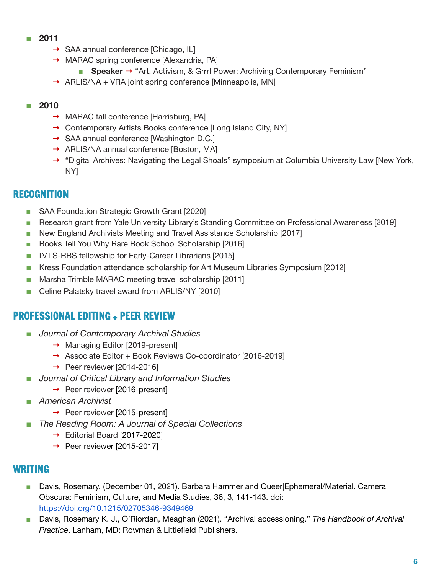- **■ 2011**
	- **→** SAA annual conference [Chicago, IL]
	- **→** MARAC spring conference [Alexandria, PA]
		- **Speaker** → "Art, Activism, & Grrrl Power: Archiving Contemporary Feminism"
	- **→** ARLIS/NA + VRA joint spring conference [Minneapolis, MN]

### **■ 2010**

- **→** MARAC fall conference [Harrisburg, PA]
- **→** Contemporary Artists Books conference [Long Island City, NY]
- **→** SAA annual conference [Washington D.C.]
- **→** ARLIS/NA annual conference [Boston, MA]
- **→** "Digital Archives: Navigating the Legal Shoals" symposium at Columbia University Law [New York, NY]

# RECOGNITION

- SAA Foundation Strategic Growth Grant [2020]
- Research grant from Yale University Library's Standing Committee on Professional Awareness [2019]
- New England Archivists Meeting and Travel Assistance Scholarship [2017]
- Books Tell You Why Rare Book School Scholarship [2016]
- IMLS-RBS fellowship for Early-Career Librarians [2015]
- Kress Foundation attendance scholarship for Art Museum Libraries Symposium [2012]
- Marsha Trimble MARAC meeting travel scholarship [2011]
- Celine Palatsky travel award from ARLIS/NY [2010]

# PROFESSIONAL EDITING + PEER REVIEW

- *Journal of Contemporary Archival Studies* 
	- → Managing Editor [2019-present]
	- → Associate Editor + Book Reviews Co-coordinator [2016-2019]
	- $\rightarrow$  Peer reviewer [2014-2016]
- *Journal of Critical Library and Information Studies* 
	- $\rightarrow$  Peer reviewer [2016-present]
- *American Archivist* 
	- $\rightarrow$  Peer reviewer [2015-present]
- *The Reading Room: A Journal of Special Collections* 
	- $\rightarrow$  Editorial Board [2017-2020]
	- $\rightarrow$  Peer reviewer [2015-2017]

# WRITING

- Davis, Rosemary. (December 01, 2021). Barbara Hammer and Queer|Ephemeral/Material. Camera Obscura: Feminism, Culture, and Media Studies, 36, 3, 141-143. doi: <https://doi.org/10.1215/02705346-9349469>
- Davis, Rosemary K. J., O'Riordan, Meaghan (2021). "Archival accessioning." *The Handbook of Archival Practice*. Lanham, MD: Rowman & Littlefield Publishers.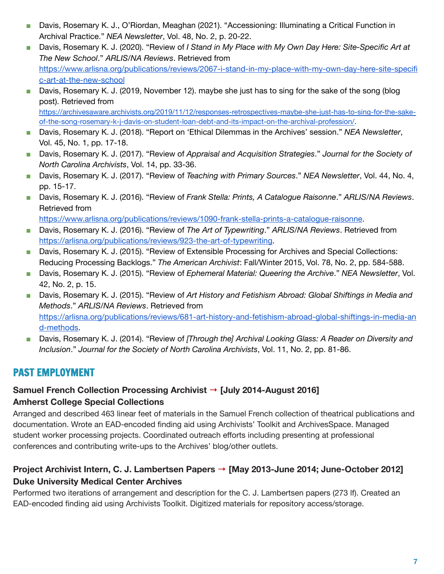- Davis, Rosemary K. J., O'Riordan, Meaghan (2021). "Accessioning: Illuminating a Critical Function in Archival Practice." *NEA Newsletter*, Vol. 48, No. 2, p. 20-22.
- Davis, Rosemary K. J. (2020). "Review of *I Stand in My Place with My Own Day Here: Site-Specific Art at The New School*." *ARLIS/NA Reviews*. Retrieved from [https://www.arlisna.org/publications/reviews/2067-i-stand-in-my-place-with-my-own-day-here-site-specifi](https://www.arlisna.org/publications/reviews/2067-i-stand-in-my-place-with-my-own-day-here-site-specific-art-at-the-new-school) [c-art-at-the-new-school](https://www.arlisna.org/publications/reviews/2067-i-stand-in-my-place-with-my-own-day-here-site-specific-art-at-the-new-school)
- Davis, Rosemary K. J. (2019, November 12). maybe she just has to sing for the sake of the song (blog post). Retrieved from

[https://archivesaware.archivists.org/2019/11/12/responses-retrospectives-maybe-she-just-has-to-sing-for-the-sake](https://archivesaware.archivists.org/2019/11/12/responses-retrospectives-maybe-she-just-has-to-sing-for-the-sake-of-the-song-rosemary-k-j-davis-on-student-loan-debt-and-its-impact-on-the-archival-profession/)[of-the-song-rosemary-k-j-davis-on-student-loan-debt-and-its-impact-on-the-archival-profession/.](https://archivesaware.archivists.org/2019/11/12/responses-retrospectives-maybe-she-just-has-to-sing-for-the-sake-of-the-song-rosemary-k-j-davis-on-student-loan-debt-and-its-impact-on-the-archival-profession/)

- Davis, Rosemary K. J. (2018). "Report on 'Ethical Dilemmas in the Archives' session." *NEA Newsletter*, Vol. 45, No. 1, pp. 17-18.
- Davis, Rosemary K. J. (2017). "Review of *Appraisal and Acquisition Strategies*." *Journal for the Society of North Carolina Archivists*, Vol. 14, pp. 33-36.
- Davis, Rosemary K. J. (2017). "Review of *Teaching with Primary Sources.*" *NEA Newsletter*, Vol. 44, No. 4, pp. 15-17.
- Davis, Rosemary K. J. (2016). "Review of *Frank Stella: Prints, A Catalogue Raisonne*." *ARLIS/NA Reviews*. Retrieved from

[https://www.arlisna.org/publications/reviews/1090-frank-stella-prints-a-catalogue-raisonne.](https://www.arlisna.org/publications/reviews/1090-frank-stella-prints-a-catalogue-raisonne)

- Davis, Rosemary K. J. (2016). "Review of *The Art of Typewriting*." *ARLIS/NA Reviews*. Retrieved from [https://arlisna.org/publications/reviews/923-the-art-of-typewriting.](https://arlisna.org/publications/reviews/923-the-art-of-typewriting)
- Davis, Rosemary K. J. (2015). "Review of Extensible Processing for Archives and Special Collections: Reducing Processing Backlogs." *The American Archivist*: Fall/Winter 2015, Vol. 78, No. 2, pp. 584-588.
- Davis, Rosemary K. J. (2015). "Review of *Ephemeral Material: Queering the Archive*." *NEA Newsletter*, Vol. 42, No. 2, p. 15.
- Davis, Rosemary K. J. (2015). "Review of *Art History and Fetishism Abroad: Global Shiftings in Media and Methods*." *ARLIS/NA Reviews*. Retrieved from [https://arlisna.org/publications/reviews/681-art-history-and-fetishism-abroad-global-shiftings-in-media-an](https://arlisna.org/publications/reviews/681-art-history-and-fetishism-abroad-global-shiftings-in-media-and-methods) [d-methods.](https://arlisna.org/publications/reviews/681-art-history-and-fetishism-abroad-global-shiftings-in-media-and-methods)
- Davis, Rosemary K. J. (2014). "Review of *[Through the] Archival Looking Glass: A Reader on Diversity and Inclusion*." *Journal for the Society of North Carolina Archivists*, Vol. 11, No. 2, pp. 81-86.

# PAST EMPLOYMENT

# **Samuel French Collection Processing Archivist** → **[July 2014-August 2016] Amherst College Special Collections**

Arranged and described 463 linear feet of materials in the Samuel French collection of theatrical publications and documentation. Wrote an EAD-encoded finding aid using Archivists' Toolkit and ArchivesSpace. Managed student worker processing projects. Coordinated outreach efforts including presenting at professional conferences and contributing write-ups to the Archives' blog/other outlets.

# **Project Archivist Intern, C. J. Lambertsen Papers** → **[May 2013-June 2014; June-October 2012] Duke University Medical Center Archives**

Performed two iterations of arrangement and description for the C. J. Lambertsen papers (273 lf). Created an EAD-encoded finding aid using Archivists Toolkit. Digitized materials for repository access/storage.